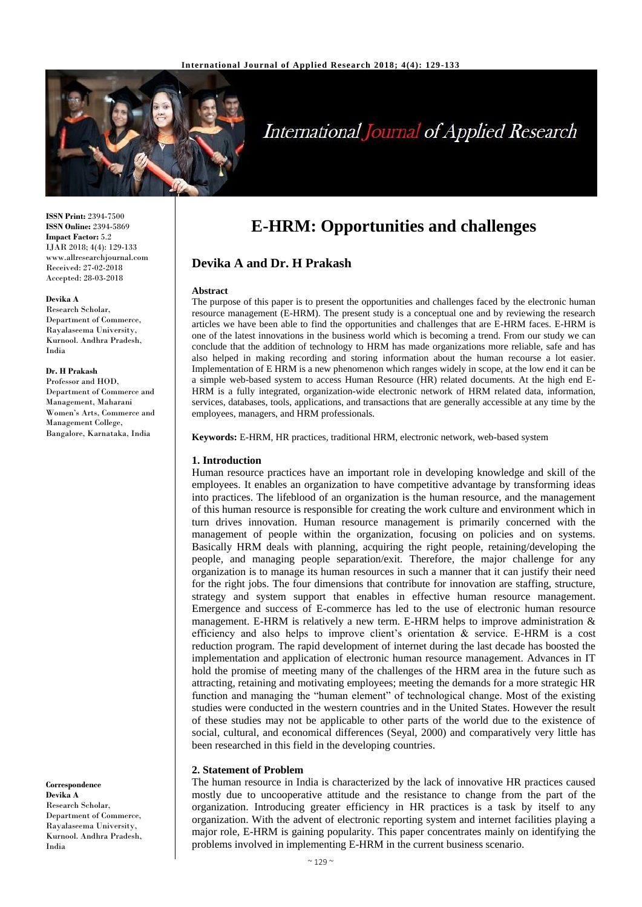

# **International Journal of Applied Research**

**ISSN Print:** 2394-7500 **ISSN Online:** 2394-5869 **Impact Factor:** 5.2 IJAR 2018; 4(4): 129-133 www.allresearchjournal.com Received: 27-02-2018 Accepted: 28-03-2018

#### **Devika A**

Research Scholar, Department of Commerce, Rayalaseema University, Kurnool. Andhra Pradesh, India

#### **Dr. H Prakash**

Professor and HOD, Department of Commerce and Management, Maharani Women's Arts, Commerce and Management College, Bangalore, Karnataka, India

**Correspondence Devika A** Research Scholar, Department of Commerce, Rayalaseema University, Kurnool. Andhra Pradesh, India

# **E-HRM: Opportunities and challenges**

**Devika A and Dr. H Prakash**

#### **Abstract**

The purpose of this paper is to present the opportunities and challenges faced by the electronic human resource management (E-HRM). The present study is a conceptual one and by reviewing the research articles we have been able to find the opportunities and challenges that are E-HRM faces. E-HRM is one of the latest innovations in the business world which is becoming a trend. From our study we can conclude that the addition of technology to HRM has made organizations more reliable, safe and has also helped in making recording and storing information about the human recourse a lot easier. Implementation of E HRM is a new phenomenon which ranges widely in scope, at the low end it can be a simple web-based system to access Human Resource (HR) related documents. At the high end E-HRM is a fully integrated, organization-wide electronic network of HRM related data, information, services, databases, tools, applications, and transactions that are generally accessible at any time by the employees, managers, and HRM professionals*.*

**Keywords:** E-HRM, HR practices, traditional HRM, electronic network, web-based system

#### **1. Introduction**

Human resource practices have an important role in developing knowledge and skill of the employees. It enables an organization to have competitive advantage by transforming ideas into practices. The lifeblood of an organization is the human resource, and the management of this human resource is responsible for creating the work culture and environment which in turn drives innovation. Human resource management is primarily concerned with the management of people within the organization, focusing on policies and on systems. Basically HRM deals with planning, acquiring the right people, retaining/developing the people, and managing people separation/exit. Therefore, the major challenge for any organization is to manage its human resources in such a manner that it can justify their need for the right jobs. The four dimensions that contribute for innovation are staffing, structure, strategy and system support that enables in effective human resource management. Emergence and success of E-commerce has led to the use of electronic human resource management. E-HRM is relatively a new term. E-HRM helps to improve administration  $\&$ efficiency and also helps to improve client's orientation & service. E-HRM is a cost reduction program. The rapid development of internet during the last decade has boosted the implementation and application of electronic human resource management. Advances in IT hold the promise of meeting many of the challenges of the HRM area in the future such as attracting, retaining and motivating employees; meeting the demands for a more strategic HR function and managing the "human element" of technological change. Most of the existing studies were conducted in the western countries and in the United States. However the result of these studies may not be applicable to other parts of the world due to the existence of social, cultural, and economical differences (Seyal, 2000) and comparatively very little has been researched in this field in the developing countries.

#### **2. Statement of Problem**

The human resource in India is characterized by the lack of innovative HR practices caused mostly due to uncooperative attitude and the resistance to change from the part of the organization. Introducing greater efficiency in HR practices is a task by itself to any organization. With the advent of electronic reporting system and internet facilities playing a major role, E-HRM is gaining popularity. This paper concentrates mainly on identifying the problems involved in implementing E-HRM in the current business scenario.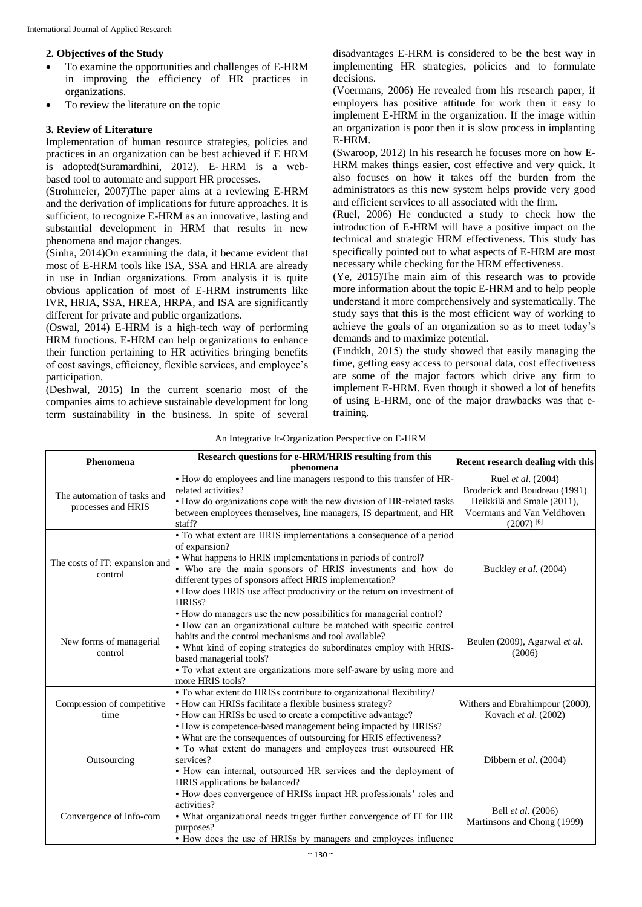#### **2. Objectives of the Study**

- To examine the opportunities and challenges of E-HRM in improving the efficiency of HR practices in organizations.
- To review the literature on the topic

#### **3. Review of Literature**

Implementation of human resource strategies, policies and practices in an organization can be best achieved if E HRM is adopted(Suramardhini, 2012). E- HRM is a webbased tool to automate and support HR processes.

(Strohmeier, 2007)The paper aims at a reviewing E-HRM and the derivation of implications for future approaches. It is sufficient, to recognize E-HRM as an innovative, lasting and substantial development in HRM that results in new phenomena and major changes.

(Sinha, 2014)On examining the data, it became evident that most of E-HRM tools like ISA, SSA and HRIA are already in use in Indian organizations. From analysis it is quite obvious application of most of E-HRM instruments like IVR, HRIA, SSA, HREA, HRPA, and ISA are significantly different for private and public organizations.

(Oswal, 2014) E-HRM is a high-tech way of performing HRM functions. E-HRM can help organizations to enhance their function pertaining to HR activities bringing benefits of cost savings, efficiency, flexible services, and employee's participation.

(Deshwal, 2015) In the current scenario most of the companies aims to achieve sustainable development for long term sustainability in the business. In spite of several

disadvantages E-HRM is considered to be the best way in implementing HR strategies, policies and to formulate decisions.

(Voermans, 2006) He revealed from his research paper, if employers has positive attitude for work then it easy to implement E-HRM in the organization. If the image within an organization is poor then it is slow process in implanting E-HRM.

(Swaroop, 2012) In his research he focuses more on how E-HRM makes things easier, cost effective and very quick. It also focuses on how it takes off the burden from the administrators as this new system helps provide very good and efficient services to all associated with the firm.

(Ruel, 2006) He conducted a study to check how the introduction of E-HRM will have a positive impact on the technical and strategic HRM effectiveness. This study has specifically pointed out to what aspects of E-HRM are most necessary while checking for the HRM effectiveness.

(Ye, 2015)The main aim of this research was to provide more information about the topic E-HRM and to help people understand it more comprehensively and systematically. The study says that this is the most efficient way of working to achieve the goals of an organization so as to meet today's demands and to maximize potential.

(Fındıklı, 2015) the study showed that easily managing the time, getting easy access to personal data, cost effectiveness are some of the major factors which drive any firm to implement E-HRM. Even though it showed a lot of benefits of using E-HRM, one of the major drawbacks was that etraining.

| Phenomena                                         | Research questions for e-HRM/HRIS resulting from this<br>phenomena                                                                                                                                                                                                                                                                                                                            | Recent research dealing with this                                                                                                 |
|---------------------------------------------------|-----------------------------------------------------------------------------------------------------------------------------------------------------------------------------------------------------------------------------------------------------------------------------------------------------------------------------------------------------------------------------------------------|-----------------------------------------------------------------------------------------------------------------------------------|
| The automation of tasks and<br>processes and HRIS | How do employees and line managers respond to this transfer of HR-<br>related activities?<br>• How do organizations cope with the new division of HR-related tasks<br>between employees themselves, line managers, IS department, and HR<br>staff?                                                                                                                                            | Ruël et al. (2004)<br>Broderick and Boudreau (1991)<br>Heikkilä and Smale (2011),<br>Voermans and Van Veldhoven<br>$(2007)^{[6]}$ |
| The costs of IT: expansion and<br>control         | To what extent are HRIS implementations a consequence of a period<br>of expansion?<br>• What happens to HRIS implementations in periods of control?<br>Who are the main sponsors of HRIS investments and how do<br>different types of sponsors affect HRIS implementation?<br>• How does HRIS use affect productivity or the return on investment of<br>HRIS <sub>s</sub> ?                   | Buckley et al. (2004)                                                                                                             |
| New forms of managerial<br>control                | • How do managers use the new possibilities for managerial control?<br>How can an organizational culture be matched with specific control<br>habits and the control mechanisms and tool available?<br>What kind of coping strategies do subordinates employ with HRIS-<br>based managerial tools?<br>· To what extent are organizations more self-aware by using more and<br>more HRIS tools? | Beulen (2009), Agarwal et al.<br>(2006)                                                                                           |
| Compression of competitive<br>time                | · To what extent do HRISs contribute to organizational flexibility?<br>How can HRISs facilitate a flexible business strategy?<br>• How can HRISs be used to create a competitive advantage?<br>How is competence-based management being impacted by HRISs?                                                                                                                                    | Withers and Ebrahimpour (2000),<br>Kovach et al. (2002)                                                                           |
| Outsourcing                                       | What are the consequences of outsourcing for HRIS effectiveness?<br>To what extent do managers and employees trust outsourced HR<br>services?<br>• How can internal, outsourced HR services and the deployment of<br>HRIS applications be balanced?                                                                                                                                           | Dibbern et al. (2004)                                                                                                             |
| Convergence of info-com                           | • How does convergence of HRISs impact HR professionals' roles and<br>activities?<br>What organizational needs trigger further convergence of IT for HR<br>purposes?<br>• How does the use of HRISs by managers and employees influence                                                                                                                                                       | Bell <i>et al.</i> (2006)<br>Martinsons and Chong (1999)                                                                          |

#### An Integrative It-Organization Perspective on E-HRM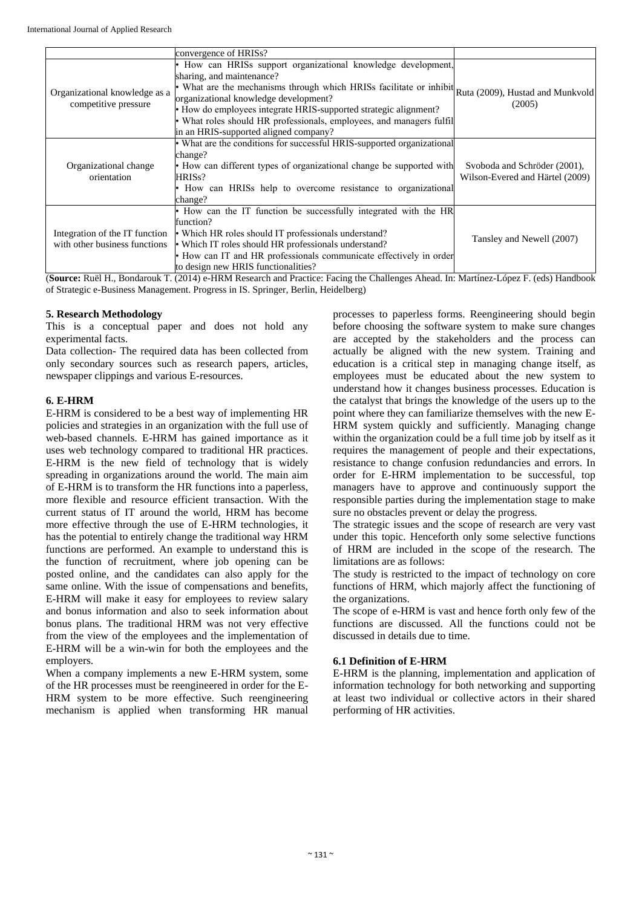|                                                                 | convergence of HRISs?                                                                                                                                                                                                                                                                                                                                                                                                                            |                                                                 |
|-----------------------------------------------------------------|--------------------------------------------------------------------------------------------------------------------------------------------------------------------------------------------------------------------------------------------------------------------------------------------------------------------------------------------------------------------------------------------------------------------------------------------------|-----------------------------------------------------------------|
| Organizational knowledge as a<br>competitive pressure           | How can HRISs support organizational knowledge development,<br>sharing, and maintenance?<br>• What are the mechanisms through which HRISs facilitate or inhibit Ruta (2009), Hustad and Munkvold<br>organizational knowledge development?<br>• How do employees integrate HRIS-supported strategic alignment?<br>• What roles should HR professionals, employees, and managers fulfil<br>in an HRIS-supported aligned company?                   | (2005)                                                          |
| Organizational change<br>orientation                            | • What are the conditions for successful HRIS-supported organizational<br>change?<br>• How can different types of organizational change be supported with<br>HRISs?<br>• How can HRISs help to overcome resistance to organizational<br>change?                                                                                                                                                                                                  | Svoboda and Schröder (2001),<br>Wilson-Evered and Härtel (2009) |
| Integration of the IT function<br>with other business functions | • How can the IT function be successfully integrated with the HR<br>function?<br>• Which HR roles should IT professionals understand?<br>• Which IT roles should HR professionals understand?<br>• How can IT and HR professionals communicate effectively in order<br>to design new HRIS functionalities?<br>Course Duil II, Dondoroul: T. (2014) o HDM Desseroh and Drastias: Fasing the Challenges Aboad In: Martínez Lónez E. (ada) Handbook | Tansley and Newell (2007)                                       |

(**Source:** Ruël H., Bondarouk T. (2014) e-HRM Research and Practice: Facing the Challenges Ahead. In: Martínez-López F. (eds) Handbook of Strategic e-Business Management. Progress in IS. Springer, Berlin, Heidelberg)

#### **5. Research Methodology**

This is a conceptual paper and does not hold any experimental facts.

Data collection- The required data has been collected from only secondary sources such as research papers, articles, newspaper clippings and various E-resources.

#### **6. E-HRM**

E-HRM is considered to be a best way of implementing HR policies and strategies in an organization with the full use of web-based channels. E-HRM has gained importance as it uses web technology compared to traditional HR practices. E-HRM is the new field of technology that is widely spreading in organizations around the world. The main aim of E-HRM is to transform the HR functions into a paperless, more flexible and resource efficient transaction. With the current status of IT around the world, HRM has become more effective through the use of E-HRM technologies, it has the potential to entirely change the traditional way HRM functions are performed. An example to understand this is the function of recruitment, where job opening can be posted online, and the candidates can also apply for the same online. With the issue of compensations and benefits, E-HRM will make it easy for employees to review salary and bonus information and also to seek information about bonus plans. The traditional HRM was not very effective from the view of the employees and the implementation of E-HRM will be a win-win for both the employees and the employers.

When a company implements a new E-HRM system, some of the HR processes must be reengineered in order for the E-HRM system to be more effective. Such reengineering mechanism is applied when transforming HR manual

processes to paperless forms. Reengineering should begin before choosing the software system to make sure changes are accepted by the stakeholders and the process can actually be aligned with the new system. Training and education is a critical step in managing change itself, as employees must be educated about the new system to understand how it changes business processes. Education is the catalyst that brings the knowledge of the users up to the point where they can familiarize themselves with the new E-HRM system quickly and sufficiently. Managing change within the organization could be a full time job by itself as it requires the management of people and their expectations, resistance to change confusion redundancies and errors. In order for E-HRM implementation to be successful, top managers have to approve and continuously support the responsible parties during the implementation stage to make sure no obstacles prevent or delay the progress.

The strategic issues and the scope of research are very vast under this topic. Henceforth only some selective functions of HRM are included in the scope of the research. The limitations are as follows:

The study is restricted to the impact of technology on core functions of HRM, which majorly affect the functioning of the organizations.

The scope of e-HRM is vast and hence forth only few of the functions are discussed. All the functions could not be discussed in details due to time.

#### **6.1 Definition of E-HRM**

E-HRM is the planning, implementation and application of information technology for both networking and supporting at least two individual or collective actors in their shared performing of HR activities.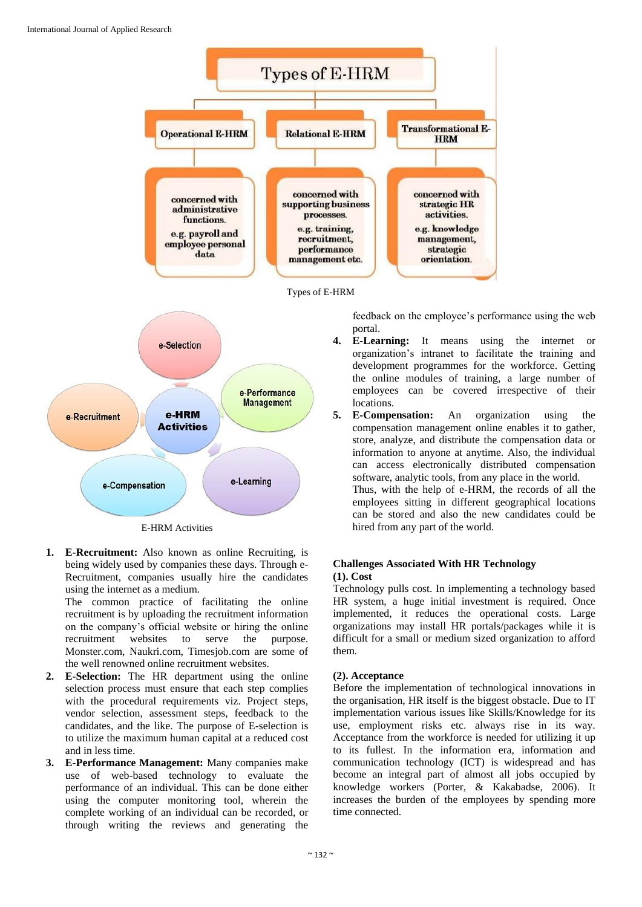





E-HRM Activities

**1. E-Recruitment:** Also known as online Recruiting, is being widely used by companies these days. Through e-Recruitment, companies usually hire the candidates using the internet as a medium.

The common practice of facilitating the online recruitment is by uploading the recruitment information on the company's official website or hiring the online recruitment websites to serve the purpose. Monster.com, Naukri.com, Timesjob.com are some of the well renowned online recruitment websites.

- **2. E-Selection:** The HR department using the online selection process must ensure that each step complies with the procedural requirements viz. Project steps, vendor selection, assessment steps, feedback to the candidates, and the like. The purpose of E-selection is to utilize the maximum human capital at a reduced cost and in less time.
- **3. E-Performance Management:** Many companies make use of web-based technology to evaluate the performance of an individual. This can be done either using the computer monitoring tool, wherein the complete working of an individual can be recorded, or through writing the reviews and generating the

feedback on the employee's performance using the web portal.

- **4. E-Learning:** It means using the internet or organization's intranet to facilitate the training and development programmes for the workforce. Getting the online modules of training, a large number of employees can be covered irrespective of their locations.
- **5. E-Compensation:** An organization using the compensation management online enables it to gather, store, analyze, and distribute the compensation data or information to anyone at anytime. Also, the individual can access electronically distributed compensation software, analytic tools, from any place in the world. Thus, with the help of e-HRM, the records of all the employees sitting in different geographical locations can be stored and also the new candidates could be hired from any part of the world.

#### **Challenges Associated With HR Technology (1). Cost**

Technology pulls cost. In implementing a technology based HR system, a huge initial investment is required. Once implemented, it reduces the operational costs. Large organizations may install HR portals/packages while it is difficult for a small or medium sized organization to afford them.

# **(2). Acceptance**

Before the implementation of technological innovations in the organisation, HR itself is the biggest obstacle. Due to IT implementation various issues like Skills/Knowledge for its use, employment risks etc. always rise in its way. Acceptance from the workforce is needed for utilizing it up to its fullest. In the information era, information and communication technology (ICT) is widespread and has become an integral part of almost all jobs occupied by knowledge workers (Porter, & Kakabadse, 2006). It increases the burden of the employees by spending more time connected.